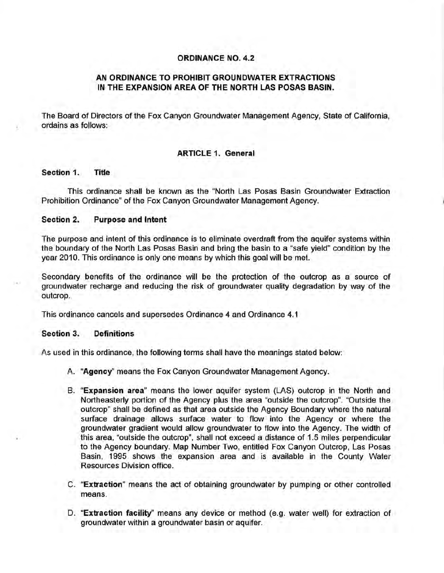## **ORDINANCE NO. 4.2**

# **AN ORDINANCE TO PROHIBIT GROUNDWATER EXTRACTIONS IN THE EXPANSION AREA OF THE NORTH LAS POSAS BASIN.**

The Board of Directors of the Fox Canyon Groundwater Management Agency, State of California, ordains as follows:

# **ARTICLE 1. General**

## **Section 1. Title**

This ordinance shall be known as the "North Las Posas Basin Groundwater Extraction Prohibition Ordinance" of the Fox Canyon Groundwater Management Agency.

#### **Section 2. Purpose and Intent**

The purpose and intent of this ordinance is to eliminate overdraft from the aquifer systems within the boundary of the North Las Posas Basin and bring the basin to a "safe yield" condition by the year 2010. This ordinance is only one means by which this goal will be met.

Secondary benefits of the ordinance will be the protection of the outcrop as a source of groundwater recharge and reducing the risk of groundwater quality degradation by way of the outcrop.

This ordinance cancels and supersedes Ordinance 4 and Ordinance 4.1

#### **Section 3. Definitions**

As used in this ordinance, the following terms shall have the meanings stated below:

- A. **"Agency''** means the Fox Canyon Groundwater Management Agency.
- B. **"Expansion area"** means the lower aquifer system (LAS) outcrop in the North and Northeasterly portion of the Agency plus the area "outside the outcrop". "Outside the outcrop" shall be defined as that area outside the Agency Boundary where the natural surface drainage allows surface water to flow into the Agency or where the groundwater gradient would allow groundwater to flow into the Agency. The width of this area, "outside the outcrop", shall not exceed a distance of 1.5 miles perpendicular to the Agency boundary. Map Number Two, entitled Fox Canyon Outcrop, Las Posas Basin, 1995 shows the expansion area and is available in the County Water Resources Division office.
- C. **"Extraction"** means the act of obtaining groundwater by pumping or other controlled means.
- D. **"Extraction facility''** means any device or method (e.g. water well) for extraction of groundwater within a groundwater basin or aquifer.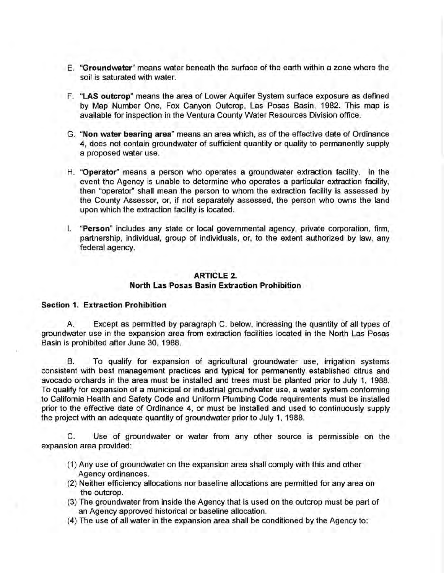- E. "Groundwater" means water beneath the surface of the earth within a zone where the soil is saturated with water.
- F. "LAS outcrop" means the area of Lower Aquifer System surface exposure as defined by Map Number One, Fox Canyon Outcrop, Las Posas Basin, 1982. This map is available for inspection in the Ventura County Water Resources Division office.
- G. "Non water bearing area" means an area which, as of the effective date of Ordinance 4, does not contain groundwater of sufficient quantity or quality to permanently supply a proposed water use.
- H. "Operator" means a person who operates a groundwater extraction facility. In the event the Agency is unable to determine who operates a particular extraction facility, then "operator'' shall mean the person to whom the extraction facility is assessed by the County Assessor, or, if not separately assessed, the person who owns the land upon which the extraction facility is located.
- I. "Person" includes any state or local governmental agency, private corporation, firm, partnership, individual, group of individuals, or, to the extent authorized by law, any federal agency.

## ARTICLE 2. North Las Posas Basin Extraction Prohibition

#### Section 1. Extraction Prohibition

A. Except as permitted by paragraph C. below, increasing the quantity of all types of groundwater use in the expansion area from extraction facilities located in the North Las Posas Basin is prohibited after June 30, 1988.

B. To qualify for expansion of agricultural groundwater use, irrigation systems consistent with best management practices and typical for permanently established citrus and avocado orchards in the area must be installed and trees must be planted prior to July 1, 1988. To qualify for expansion of a municipal or industrial groundwater use, a water system conforming to California Health and Safety Code and Uniform Plumbing Code requirements must be installed prior to the effective date of Ordinance 4, or must be installed and used to continuously supply the project with an adequate quantity of groundwater prior to July 1, 1988.

C. Use of groundwater or water from any other source is permissible on the expansion area provided:

- (1) Any use of groundwater on the expansion area shall comply with this and other Agency ordinances.
- (2) Neither efficiency allocations nor baseline allocations are permitted for any area on the outcrop.
- (3) The groundwater from inside the Agency that is used on the outcrop must be part of an Agency approved historical or baseline allocation.
- (4) The use of all water in the expansion area shall be conditioned by the Agency to: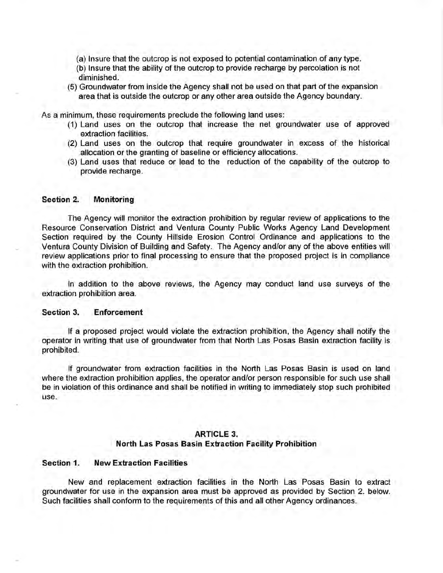- (a) Insure that the outcrop is not exposed to potential contamination of any type.
- (b) Insure that the ability of the outcrop to provide recharge by percolation is not diminished.
- (5) Groundwater from inside the Agency shall not be used on that part of the expansion area that is outside the outcrop or any other area outside the Agency boundary.

As a minimum, these requirements preclude the following land uses:

- (1) Land uses on the outcrop that increase the net groundwater use of approved extraction facilities.
- (2) Land uses on the outcrop that require groundwater in excess of the historical allocation or the granting of baseline or efficiency allocations.
- (3) Land uses that reduce or lead to the reduction of the capability of the outcrop to provide recharge.

#### **Section 2. Monitoring**

The Agency will monitor the extraction prohibition by regular review of applications to the Resource Conservation District and Ventura County Public Works Agency Land Development Section required by the County Hillside Erosion Control Ordinance and applications to the Ventura County Division of Building and Safety. The Agency and/or any of the above entities will review applications prior to final processing to ensure that the proposed project is in compliance with the extraction prohibition.

In addition to the above reviews, the Agency may conduct land use surveys of the extraction prohibition area.

#### **Section 3. Enforcement**

If a proposed project would violate the extraction prohibition, the Agency shall notify the operator in writing that use of groundwater from that North Las Posas Basin extraction facility is prohibited.

If groundwater from extraction facilities in the North Las Posas Basin is used on land where the extraction prohibition applies, the operator and/or person responsible for such use shall be in violation of this ordinance and shall be notified in writing to immediately stop such prohibited use.

#### **ARTICLE 3.**

#### **North Las Posas Basin Extraction Facility Prohibition**

## **Section 1. New Extraction Facilities**

New and replacement extraction facilities in the North Las Posas Basin to extract groundwater for use in the expansion area must be approved as provided by Section 2. below. Such facilities shall conform to the requirements of this and all other Agency ordinances.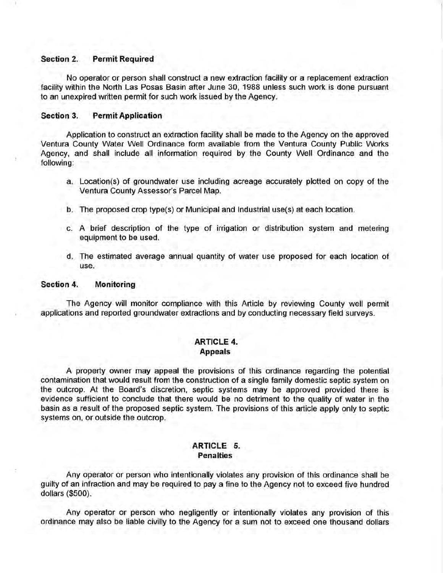#### **Section 2. Permit Required**

No operator or person shall construct a new extraction facility or a replacement extraction facility within the North Las Posas Basin after June 30, 1988 unless such work is done pursuant to an unexpired written permit for such work issued by the Agency.

## **Section 3. Permit Application**

Application to construct an extraction facility shall be made to the Agency on the approved Ventura County Water Well Ordinance form available from the Ventura County Public Works Agency, and shall include all information required by the County Well Ordinance and the following:

- a. Location(s) of groundwater use including acreage accurately plotted on copy of the Ventura County Assessor's Parcel Map.
- b. The proposed crop type(s) or Municipal and Industrial use(s) at each location.
- c. A brief description of the type of irrigation or distribution system and metering equipment to be used.
- d. The estimated average annual quantity of water use proposed for each location of use.

#### **Section 4. Monitoring**

The Agency will monitor compliance with this Article by reviewing County well permit applications and reported groundwater extractions and by conducting necessary field surveys.

## **ARTICLE 4. Appeals**

A property owner may appeal the provisions of this ordinance regarding the potential contamination that would result from the construction of a single family domestic septic system on the outcrop. At the Board's discretion, septic systems may be approved provided there is evidence sufficient to conclude that there would be no detriment to the quality of water in the basin as a result of the proposed septic system. The provisions of this article apply only to septic systems on, or outside the outcrop.

#### **ARTICLE 5. Penalties**

Any operator or person who intentionally violates any provision of this ordinance shall be guilty of an infraction and may be required to pay a fine to the Agency not to exceed five hundred dollars (\$500).

Any operator or person who negligently or intentionally violates any provision of this ordinance may also be liable civilly to the Agency for a sum not to exceed one thousand dollars